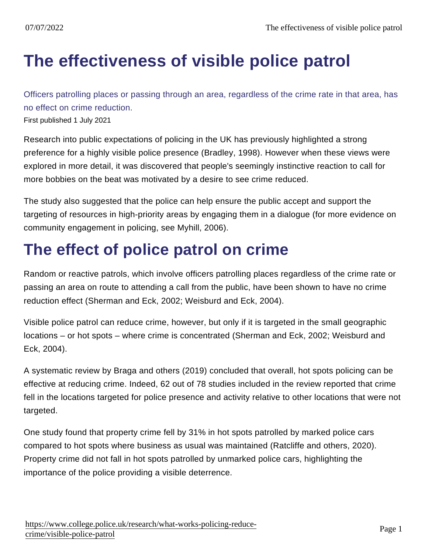## [The effectiveness of visible police patrol](https://www.college.police.uk/research/what-works-policing-reduce-crime/visible-police-patrol)

Officers patrolling places or passing through an area, regardless of the crime rate in that area, has no effect on crime reduction. First published 1 July 2021

Research into public expectations of policing in the UK has previously highlighted a strong preference for a highly visible police presence (Bradley, 1998). However when these views were explored in more detail, it was discovered that people's seemingly instinctive reaction to call for more bobbies on the beat was motivated by a desire to see crime reduced.

The study also suggested that the police can help ensure the public accept and support the targeting of resources in high-priority areas by engaging them in a dialogue (for more evidence on community engagement in policing, see Myhill, 2006).

## The effect of police patrol on crime

Random or reactive patrols, which involve officers patrolling places regardless of the crime rate or passing an area on route to attending a call from the public, have been shown to have no crime reduction effect (Sherman and Eck, 2002; Weisburd and Eck, 2004).

Visible police patrol can reduce crime, however, but only if it is targeted in the small geographic locations – or hot spots – where crime is concentrated (Sherman and Eck, 2002; Weisburd and Eck, 2004).

A systematic review by Braga and others (2019) concluded that overall, hot spots policing can be effective at reducing crime. Indeed, 62 out of 78 studies included in the review reported that crime fell in the locations targeted for police presence and activity relative to other locations that were not targeted.

One study found that property crime fell by 31% in hot spots patrolled by marked police cars compared to hot spots where business as usual was maintained (Ratcliffe and others, 2020). Property crime did not fall in hot spots patrolled by unmarked police cars, highlighting the importance of the police providing a visible deterrence.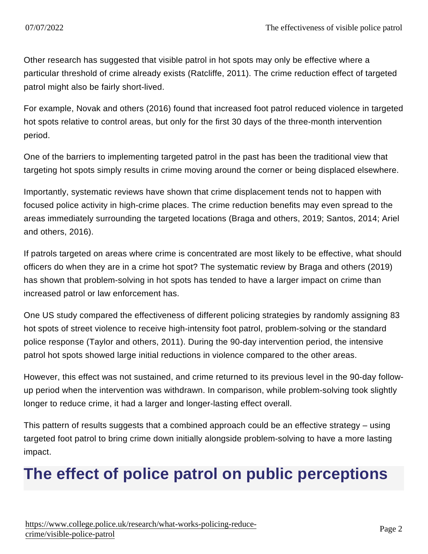Other research has suggested that visible patrol in hot spots may only be effective where a particular threshold of crime already exists (Ratcliffe, 2011). The crime reduction effect of targeted patrol might also be fairly short-lived.

For example, Novak and others (2016) found that increased foot patrol reduced violence in targeted hot spots relative to control areas, but only for the first 30 days of the three-month intervention period.

One of the barriers to implementing targeted patrol in the past has been the traditional view that targeting hot spots simply results in crime moving around the corner or being displaced elsewhere.

Importantly, systematic reviews have shown that crime displacement tends not to happen with focused police activity in high-crime places. The crime reduction benefits may even spread to the areas immediately surrounding the targeted locations (Braga and others, 2019; Santos, 2014; Ariel and others, 2016).

If patrols targeted on areas where crime is concentrated are most likely to be effective, what should officers do when they are in a crime hot spot? The systematic review by Braga and others (2019) has shown that problem-solving in hot spots has tended to have a larger impact on crime than increased patrol or law enforcement has.

One US study compared the effectiveness of different policing strategies by randomly assigning 83 hot spots of street violence to receive high-intensity foot patrol, problem-solving or the standard police response (Taylor and others, 2011). During the 90-day intervention period, the intensive patrol hot spots showed large initial reductions in violence compared to the other areas.

However, this effect was not sustained, and crime returned to its previous level in the 90-day followup period when the intervention was withdrawn. In comparison, while problem-solving took slightly longer to reduce crime, it had a larger and longer-lasting effect overall.

This pattern of results suggests that a combined approach could be an effective strategy – using targeted foot patrol to bring crime down initially alongside problem-solving to have a more lasting impact.

## The effect of police patrol on public perceptions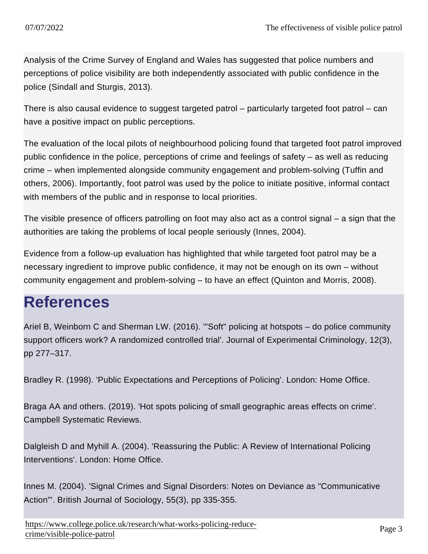Analysis of the Crime Survey of England and Wales has suggested that police numbers and perceptions of police visibility are both independently associated with public confidence in the police (Sindall and Sturgis, 2013).

There is also causal evidence to suggest targeted patrol – particularly targeted foot patrol – can have a positive impact on public perceptions.

The evaluation of the local pilots of neighbourhood policing found that targeted foot patrol improved public confidence in the police, perceptions of crime and feelings of safety – as well as reducing crime – when implemented alongside community engagement and problem-solving (Tuffin and others, 2006). Importantly, foot patrol was used by the police to initiate positive, informal contact with members of the public and in response to local priorities.

The visible presence of officers patrolling on foot may also act as a control signal – a sign that the authorities are taking the problems of local people seriously (Innes, 2004).

Evidence from a follow-up evaluation has highlighted that while targeted foot patrol may be a necessary ingredient to improve public confidence, it may not be enough on its own – without community engagement and problem-solving – to have an effect (Quinton and Morris, 2008).

## **References**

Ariel B, Weinborn C and Sherman LW. (2016). '"Soft" policing at hotspots – do police community support officers work? A randomized controlled trial'. Journal of Experimental Criminology, 12(3), pp 277–317.

Bradley R. (1998). 'Public Expectations and Perceptions of Policing'. London: Home Office.

Braga AA and others. (2019). 'Hot spots policing of small geographic areas effects on crime'. Campbell Systematic Reviews.

Dalgleish D and Myhill A. (2004). 'Reassuring the Public: A Review of International Policing Interventions'. London: Home Office.

Innes M. (2004). 'Signal Crimes and Signal Disorders: Notes on Deviance as "Communicative Action"'. British Journal of Sociology, 55(3), pp 335-355.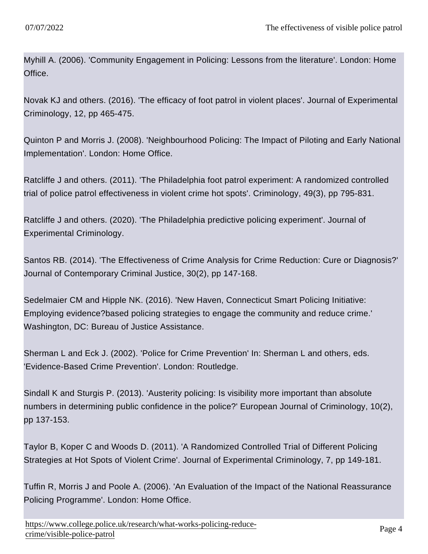Myhill A. (2006). 'Community Engagement in Policing: Lessons from the literature'. London: Home Office.

Novak KJ and others. (2016). 'The efficacy of foot patrol in violent places'. Journal of Experimental Criminology, 12, pp 465-475.

Quinton P and Morris J. (2008). 'Neighbourhood Policing: The Impact of Piloting and Early National Implementation'. London: Home Office.

Ratcliffe J and others. (2011). 'The Philadelphia foot patrol experiment: A randomized controlled trial of police patrol effectiveness in violent crime hot spots'. Criminology, 49(3), pp 795-831.

Ratcliffe J and others. (2020). 'The Philadelphia predictive policing experiment'. Journal of Experimental Criminology.

Santos RB. (2014). 'The Effectiveness of Crime Analysis for Crime Reduction: Cure or Diagnosis?' Journal of Contemporary Criminal Justice, 30(2), pp 147-168.

Sedelmaier CM and Hipple NK. (2016). 'New Haven, Connecticut Smart Policing Initiative: Employing evidence?based policing strategies to engage the community and reduce crime.' Washington, DC: Bureau of Justice Assistance.

Sherman L and Eck J. (2002). 'Police for Crime Prevention' In: Sherman L and others, eds. 'Evidence-Based Crime Prevention'. London: Routledge.

Sindall K and Sturgis P. (2013). 'Austerity policing: Is visibility more important than absolute numbers in determining public confidence in the police?' European Journal of Criminology, 10(2), pp 137-153.

Taylor B, Koper C and Woods D. (2011). 'A Randomized Controlled Trial of Different Policing Strategies at Hot Spots of Violent Crime'. Journal of Experimental Criminology, 7, pp 149-181.

Tuffin R, Morris J and Poole A. (2006). 'An Evaluation of the Impact of the National Reassurance Policing Programme'. London: Home Office.